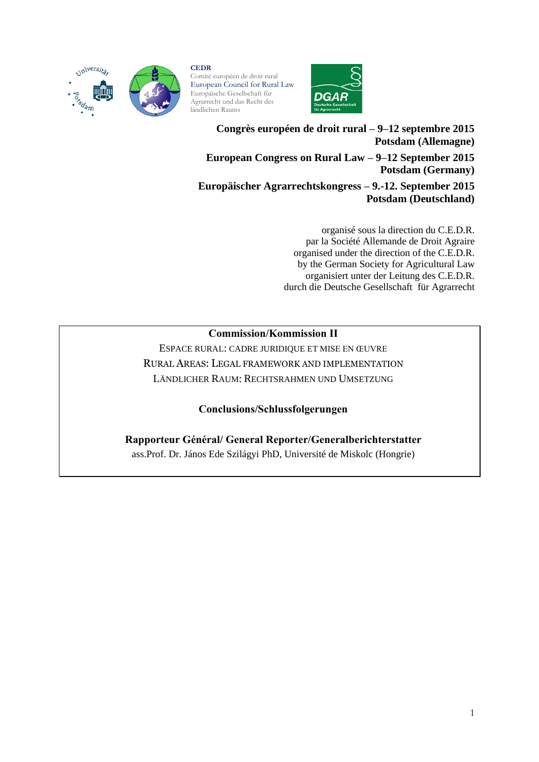

#### **CEDR** Comité européen de droit rural European Council for Rural Law Europäische Gesellschaft für Agrarrecht und das Recht des

ländlichen Raums



**Congrès européen de droit rural – 9–12 septembre 2015 Potsdam (Allemagne) European Congress on Rural Law – 9–12 September 2015 Potsdam (Germany)**

**Europäischer Agrarrechtskongress – 9.-12. September 2015 Potsdam (Deutschland)**

> organisé sous la direction du C.E.D.R. par la Société Allemande de Droit Agraire organised under the direction of the C.E.D.R. by the German Society for Agricultural Law organisiert unter der Leitung des C.E.D.R. durch die Deutsche Gesellschaft für Agrarrecht

## **Commission/Kommission II**

ESPACE RURAL: CADRE JURIDIQUE ET MISE EN ŒUVRE RURAL AREAS: LEGAL FRAMEWORK AND IMPLEMENTATION LÄNDLICHER RAUM: RECHTSRAHMEN UND UMSETZUNG

**Conclusions/Schlussfolgerungen**

**Rapporteur Général/ General Reporter/Generalberichterstatter**  ass.Prof. Dr. János Ede Szilágyi PhD, Université de Miskolc (Hongrie)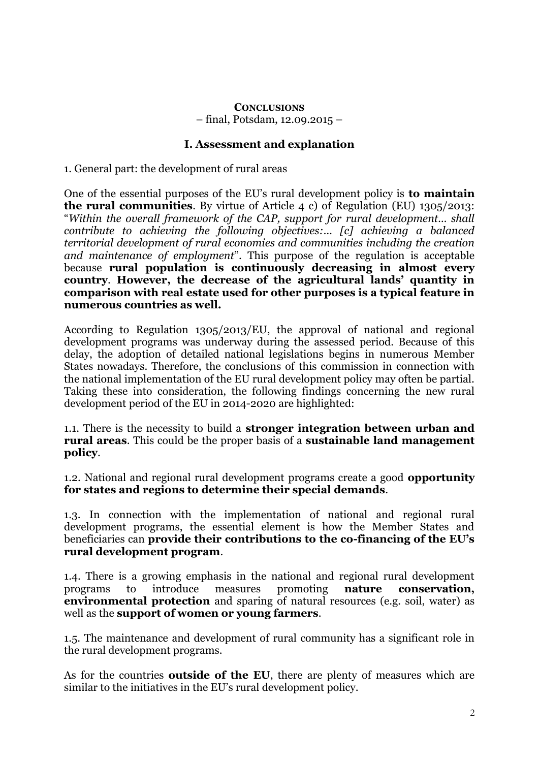#### **CONCLUSIONS** – final, Potsdam, 12.09.2015 –

## **I. Assessment and explanation**

1. General part: the development of rural areas

One of the essential purposes of the EU's rural development policy is **to maintain the rural communities**. By virtue of Article 4 c) of Regulation (EU) 1305/2013: "*Within the overall framework of the CAP, support for rural development… shall contribute to achieving the following objectives:… [c] achieving a balanced territorial development of rural economies and communities including the creation and maintenance of employment*". This purpose of the regulation is acceptable because **rural population is continuously decreasing in almost every country**. **However, the decrease of the agricultural lands' quantity in comparison with real estate used for other purposes is a typical feature in numerous countries as well.**

According to Regulation 1305/2013/EU, the approval of national and regional development programs was underway during the assessed period. Because of this delay, the adoption of detailed national legislations begins in numerous Member States nowadays. Therefore, the conclusions of this commission in connection with the national implementation of the EU rural development policy may often be partial. Taking these into consideration, the following findings concerning the new rural development period of the EU in 2014-2020 are highlighted:

1.1. There is the necessity to build a **stronger integration between urban and rural areas**. This could be the proper basis of a **sustainable land management policy**.

1.2. National and regional rural development programs create a good **opportunity for states and regions to determine their special demands**.

1.3. In connection with the implementation of national and regional rural development programs, the essential element is how the Member States and beneficiaries can **provide their contributions to the co-financing of the EU's rural development program**.

1.4. There is a growing emphasis in the national and regional rural development programs to introduce measures promoting **nature conservation, environmental protection** and sparing of natural resources (e.g. soil, water) as well as the **support of women or young farmers**.

1.5. The maintenance and development of rural community has a significant role in the rural development programs.

As for the countries **outside of the EU**, there are plenty of measures which are similar to the initiatives in the EU's rural development policy.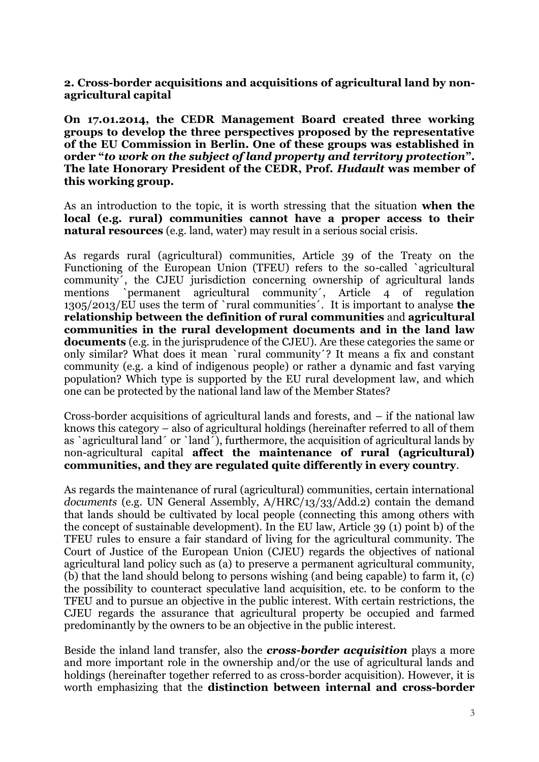**2. Cross-border acquisitions and acquisitions of agricultural land by nonagricultural capital**

**On 17.01.2014, the CEDR Management Board created three working groups to develop the three perspectives proposed by the representative of the EU Commission in Berlin. One of these groups was established in order "***to work on the subject of land property and territory protection***". The late Honorary President of the CEDR, Prof.** *Hudault* **was member of this working group.**

As an introduction to the topic, it is worth stressing that the situation **when the local (e.g. rural) communities cannot have a proper access to their natural resources** (e.g. land, water) may result in a serious social crisis.

As regards rural (agricultural) communities, Article 39 of the Treaty on the Functioning of the European Union (TFEU) refers to the so-called `agricultural community´, the CJEU jurisdiction concerning ownership of agricultural lands mentions `permanent agricultural community´, Article 4 of regulation 1305/2013/EU uses the term of `rural communities´. It is important to analyse **the relationship between the definition of rural communities** and **agricultural communities in the rural development documents and in the land law documents** (e.g. in the jurisprudence of the CJEU). Are these categories the same or only similar? What does it mean `rural community´? It means a fix and constant community (e.g. a kind of indigenous people) or rather a dynamic and fast varying population? Which type is supported by the EU rural development law, and which one can be protected by the national land law of the Member States?

Cross-border acquisitions of agricultural lands and forests, and – if the national law knows this category – also of agricultural holdings (hereinafter referred to all of them as `agricultural land´ or `land´), furthermore, the acquisition of agricultural lands by non-agricultural capital **affect the maintenance of rural (agricultural) communities, and they are regulated quite differently in every country**.

As regards the maintenance of rural (agricultural) communities, certain international *documents* (e.g. UN General Assembly, A/HRC/13/33/Add.2) contain the demand that lands should be cultivated by local people (connecting this among others with the concept of sustainable development). In the EU law, Article 39 (1) point b) of the TFEU rules to ensure a fair standard of living for the agricultural community. The Court of Justice of the European Union (CJEU) regards the objectives of national agricultural land policy such as (a) to preserve a permanent agricultural community, (b) that the land should belong to persons wishing (and being capable) to farm it, (c) the possibility to counteract speculative land acquisition, etc. to be conform to the TFEU and to pursue an objective in the public interest. With certain restrictions, the CJEU regards the assurance that agricultural property be occupied and farmed predominantly by the owners to be an objective in the public interest.

Beside the inland land transfer, also the *cross-border acquisition* plays a more and more important role in the ownership and/or the use of agricultural lands and holdings (hereinafter together referred to as cross-border acquisition). However, it is worth emphasizing that the **distinction between internal and cross-border**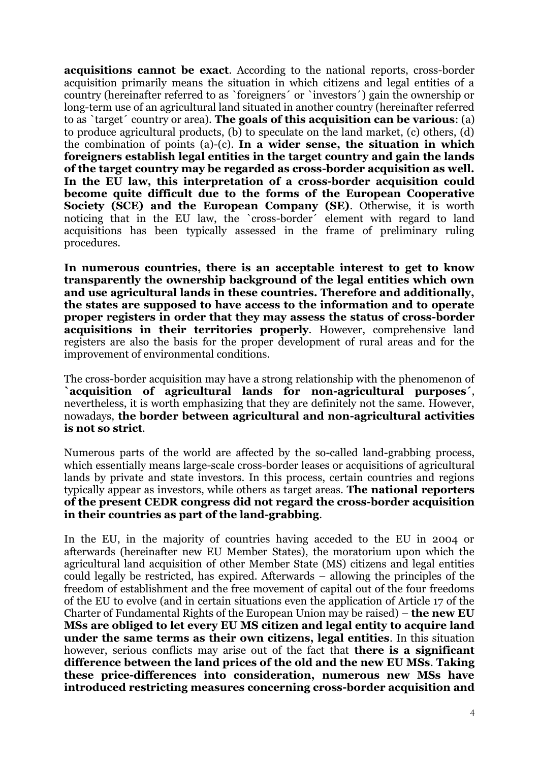**acquisitions cannot be exact**. According to the national reports, cross-border acquisition primarily means the situation in which citizens and legal entities of a country (hereinafter referred to as `foreigners´ or `investors´) gain the ownership or long-term use of an agricultural land situated in another country (hereinafter referred to as `target´ country or area). **The goals of this acquisition can be various**: (a) to produce agricultural products, (b) to speculate on the land market, (c) others, (d) the combination of points (a)-(c). **In a wider sense, the situation in which foreigners establish legal entities in the target country and gain the lands of the target country may be regarded as cross-border acquisition as well. In the EU law, this interpretation of a cross-border acquisition could become quite difficult due to the forms of the European Cooperative Society (SCE) and the European Company (SE)**. Otherwise, it is worth noticing that in the EU law, the `cross-border´ element with regard to land acquisitions has been typically assessed in the frame of preliminary ruling procedures.

**In numerous countries, there is an acceptable interest to get to know transparently the ownership background of the legal entities which own and use agricultural lands in these countries. Therefore and additionally, the states are supposed to have access to the information and to operate proper registers in order that they may assess the status of cross-border acquisitions in their territories properly**. However, comprehensive land registers are also the basis for the proper development of rural areas and for the improvement of environmental conditions.

The cross-border acquisition may have a strong relationship with the phenomenon of **`acquisition of agricultural lands for non-agricultural purposes´**, nevertheless, it is worth emphasizing that they are definitely not the same. However, nowadays, **the border between agricultural and non-agricultural activities is not so strict**.

Numerous parts of the world are affected by the so-called land-grabbing process, which essentially means large-scale cross-border leases or acquisitions of agricultural lands by private and state investors. In this process, certain countries and regions typically appear as investors, while others as target areas. **The national reporters of the present CEDR congress did not regard the cross-border acquisition in their countries as part of the land-grabbing**.

In the EU, in the majority of countries having acceded to the EU in 2004 or afterwards (hereinafter new EU Member States), the moratorium upon which the agricultural land acquisition of other Member State (MS) citizens and legal entities could legally be restricted, has expired. Afterwards – allowing the principles of the freedom of establishment and the free movement of capital out of the four freedoms of the EU to evolve (and in certain situations even the application of Article 17 of the Charter of Fundamental Rights of the European Union may be raised) – **the new EU MSs are obliged to let every EU MS citizen and legal entity to acquire land under the same terms as their own citizens, legal entities**. In this situation however, serious conflicts may arise out of the fact that **there is a significant difference between the land prices of the old and the new EU MSs**. **Taking these price-differences into consideration, numerous new MSs have introduced restricting measures concerning cross-border acquisition and**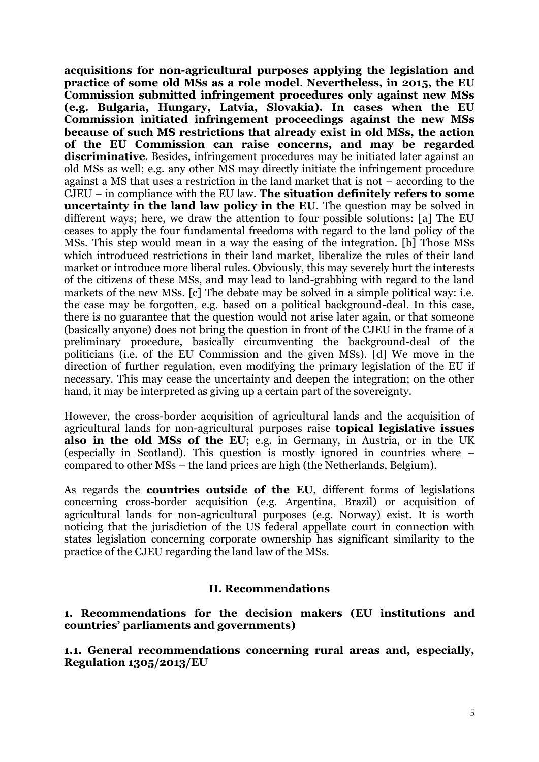**acquisitions for non-agricultural purposes applying the legislation and practice of some old MSs as a role model**. **Nevertheless, in 2015, the EU Commission submitted infringement procedures only against new MSs (e.g. Bulgaria, Hungary, Latvia, Slovakia). In cases when the EU Commission initiated infringement proceedings against the new MSs because of such MS restrictions that already exist in old MSs, the action of the EU Commission can raise concerns, and may be regarded discriminative**. Besides, infringement procedures may be initiated later against an old MSs as well; e.g. any other MS may directly initiate the infringement procedure against a MS that uses a restriction in the land market that is not – according to the CJEU – in compliance with the EU law. **The situation definitely refers to some uncertainty in the land law policy in the EU**. The question may be solved in different ways; here, we draw the attention to four possible solutions: [a] The EU ceases to apply the four fundamental freedoms with regard to the land policy of the MSs. This step would mean in a way the easing of the integration. [b] Those MSs which introduced restrictions in their land market, liberalize the rules of their land market or introduce more liberal rules. Obviously, this may severely hurt the interests of the citizens of these MSs, and may lead to land-grabbing with regard to the land markets of the new MSs. [c] The debate may be solved in a simple political way: i.e. the case may be forgotten, e.g. based on a political background-deal. In this case, there is no guarantee that the question would not arise later again, or that someone (basically anyone) does not bring the question in front of the CJEU in the frame of a preliminary procedure, basically circumventing the background-deal of the politicians (i.e. of the EU Commission and the given MSs). [d] We move in the direction of further regulation, even modifying the primary legislation of the EU if necessary. This may cease the uncertainty and deepen the integration; on the other hand, it may be interpreted as giving up a certain part of the sovereignty.

However, the cross-border acquisition of agricultural lands and the acquisition of agricultural lands for non-agricultural purposes raise **topical legislative issues also in the old MSs of the EU**; e.g. in Germany, in Austria, or in the UK (especially in Scotland). This question is mostly ignored in countries where – compared to other MSs – the land prices are high (the Netherlands, Belgium).

As regards the **countries outside of the EU**, different forms of legislations concerning cross-border acquisition (e.g. Argentina, Brazil) or acquisition of agricultural lands for non-agricultural purposes (e.g. Norway) exist. It is worth noticing that the jurisdiction of the US federal appellate court in connection with states legislation concerning corporate ownership has significant similarity to the practice of the CJEU regarding the land law of the MSs.

### **II. Recommendations**

**1. Recommendations for the decision makers (EU institutions and countries' parliaments and governments)**

**1.1. General recommendations concerning rural areas and, especially, Regulation 1305/2013/EU**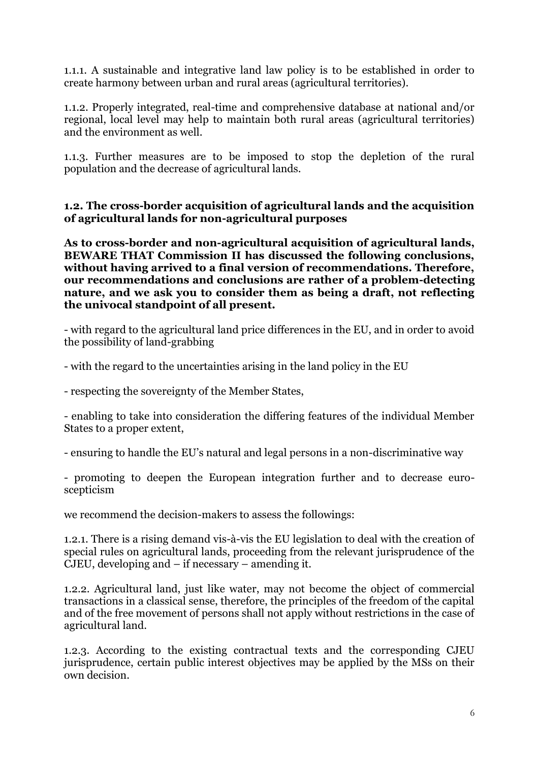1.1.1. A sustainable and integrative land law policy is to be established in order to create harmony between urban and rural areas (agricultural territories).

1.1.2. Properly integrated, real-time and comprehensive database at national and/or regional, local level may help to maintain both rural areas (agricultural territories) and the environment as well.

1.1.3. Further measures are to be imposed to stop the depletion of the rural population and the decrease of agricultural lands.

**1.2. The cross-border acquisition of agricultural lands and the acquisition of agricultural lands for non-agricultural purposes**

**As to cross-border and non-agricultural acquisition of agricultural lands, BEWARE THAT Commission II has discussed the following conclusions, without having arrived to a final version of recommendations. Therefore, our recommendations and conclusions are rather of a problem-detecting nature, and we ask you to consider them as being a draft, not reflecting the univocal standpoint of all present.**

- with regard to the agricultural land price differences in the EU, and in order to avoid the possibility of land-grabbing

- with the regard to the uncertainties arising in the land policy in the EU

- respecting the sovereignty of the Member States,

- enabling to take into consideration the differing features of the individual Member States to a proper extent,

- ensuring to handle the EU's natural and legal persons in a non-discriminative way

- promoting to deepen the European integration further and to decrease euroscepticism

we recommend the decision-makers to assess the followings:

1.2.1. There is a rising demand vis-à-vis the EU legislation to deal with the creation of special rules on agricultural lands, proceeding from the relevant jurisprudence of the CJEU, developing and – if necessary – amending it.

1.2.2. Agricultural land, just like water, may not become the object of commercial transactions in a classical sense, therefore, the principles of the freedom of the capital and of the free movement of persons shall not apply without restrictions in the case of agricultural land.

1.2.3. According to the existing contractual texts and the corresponding CJEU jurisprudence, certain public interest objectives may be applied by the MSs on their own decision.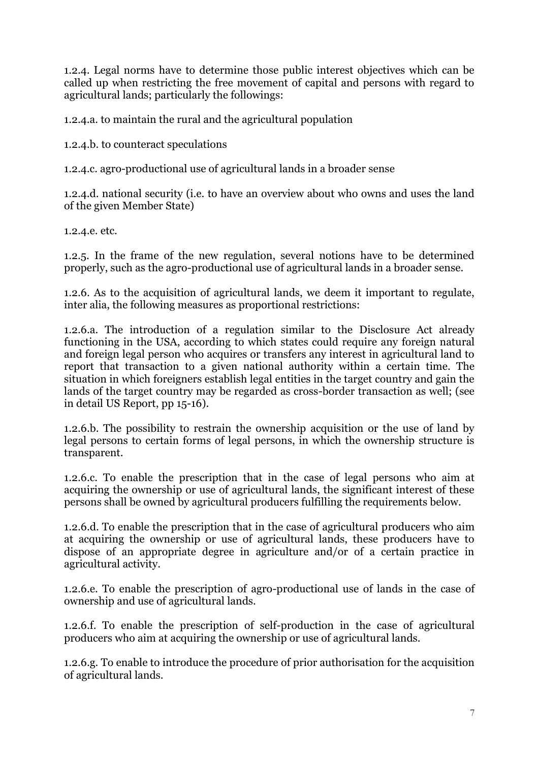1.2.4. Legal norms have to determine those public interest objectives which can be called up when restricting the free movement of capital and persons with regard to agricultural lands; particularly the followings:

1.2.4.a. to maintain the rural and the agricultural population

1.2.4.b. to counteract speculations

1.2.4.c. agro-productional use of agricultural lands in a broader sense

1.2.4.d. national security (i.e. to have an overview about who owns and uses the land of the given Member State)

1.2.4.e. etc.

1.2.5. In the frame of the new regulation, several notions have to be determined properly, such as the agro-productional use of agricultural lands in a broader sense.

1.2.6. As to the acquisition of agricultural lands, we deem it important to regulate, inter alia, the following measures as proportional restrictions:

1.2.6.a. The introduction of a regulation similar to the Disclosure Act already functioning in the USA, according to which states could require any foreign natural and foreign legal person who acquires or transfers any interest in agricultural land to report that transaction to a given national authority within a certain time. The situation in which foreigners establish legal entities in the target country and gain the lands of the target country may be regarded as cross-border transaction as well; (see in detail US Report, pp 15-16).

1.2.6.b. The possibility to restrain the ownership acquisition or the use of land by legal persons to certain forms of legal persons, in which the ownership structure is transparent.

1.2.6.c. To enable the prescription that in the case of legal persons who aim at acquiring the ownership or use of agricultural lands, the significant interest of these persons shall be owned by agricultural producers fulfilling the requirements below.

1.2.6.d. To enable the prescription that in the case of agricultural producers who aim at acquiring the ownership or use of agricultural lands, these producers have to dispose of an appropriate degree in agriculture and/or of a certain practice in agricultural activity.

1.2.6.e. To enable the prescription of agro-productional use of lands in the case of ownership and use of agricultural lands.

1.2.6.f. To enable the prescription of self-production in the case of agricultural producers who aim at acquiring the ownership or use of agricultural lands.

1.2.6.g. To enable to introduce the procedure of prior authorisation for the acquisition of agricultural lands.